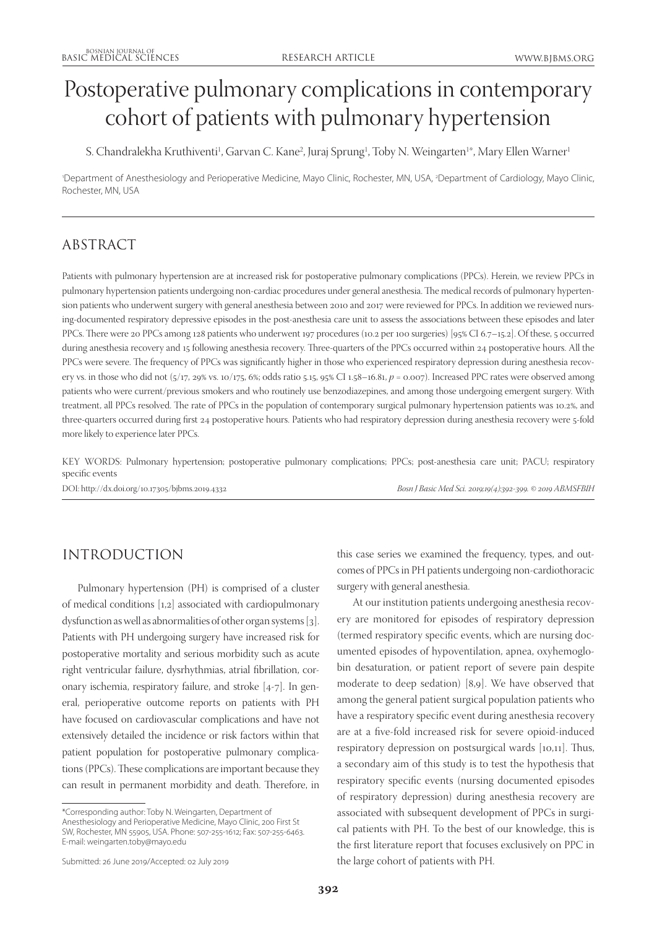# Postoperative pulmonary complications in contemporary cohort of patients with pulmonary hypertension

S. Chandralekha Kruthiventi<sup>1</sup>, Garvan C. Kane<sup>2</sup>, Juraj Sprung<sup>1</sup>, Toby N. Weingarten<sup>1</sup>\*, Mary Ellen Warner<sup>1</sup>

1 Department of Anesthesiology and Perioperative Medicine, Mayo Clinic, Rochester, MN, USA, 2 Department of Cardiology, Mayo Clinic, Rochester, MN, USA

## ABSTRACT

Patients with pulmonary hypertension are at increased risk for postoperative pulmonary complications (PPCs). Herein, we review PPCs in pulmonary hypertension patients undergoing non-cardiac procedures under general anesthesia. The medical records of pulmonary hypertension patients who underwent surgery with general anesthesia between 2010 and 2017 were reviewed for PPCs. In addition we reviewed nursing-documented respiratory depressive episodes in the post-anesthesia care unit to assess the associations between these episodes and later PPCs. There were 20 PPCs among 128 patients who underwent 197 procedures (10.2 per 100 surgeries) [95% CI 6.7–15.2]. Of these, 5 occurred during anesthesia recovery and 15 following anesthesia recovery. Three-quarters of the PPCs occurred within 24 postoperative hours. All the PPCs were severe. The frequency of PPCs was significantly higher in those who experienced respiratory depression during anesthesia recovery vs. in those who did not (5/17, 29% vs. 10/175, 6%; odds ratio 5.15, 95% CI 1.58–16.81,  $p = 0.007$ ). Increased PPC rates were observed among patients who were current/previous smokers and who routinely use benzodiazepines, and among those undergoing emergent surgery. With treatment, all PPCs resolved. The rate of PPCs in the population of contemporary surgical pulmonary hypertension patients was 10.2%, and three-quarters occurred during first 24 postoperative hours. Patients who had respiratory depression during anesthesia recovery were 5-fold more likely to experience later PPCs.

KEY WORDS: Pulmonary hypertension; postoperative pulmonary complications; PPCs; post-anesthesia care unit; PACU; respiratory specific events

DOI: <http://dx.doi.org/10.17305/bjbms.2019.4332> *Bosn J Basic Med Sci. 2019;19(4):392-399. © 2019 ABMSFBIH*

## INTRODUCTION

Pulmonary hypertension (PH) is comprised of a cluster of medical conditions [1,2] associated with cardiopulmonary dysfunction as well as abnormalities of other organ systems [3]. Patients with PH undergoing surgery have increased risk for postoperative mortality and serious morbidity such as acute right ventricular failure, dysrhythmias, atrial fibrillation, coronary ischemia, respiratory failure, and stroke [4-7]. In general, perioperative outcome reports on patients with PH have focused on cardiovascular complications and have not extensively detailed the incidence or risk factors within that patient population for postoperative pulmonary complications (PPCs). These complications are important because they can result in permanent morbidity and death. Therefore, in

\*Corresponding author: Toby N. Weingarten, Department of Anesthesiology and Perioperative Medicine, Mayo Clinic, 200 First St SW, Rochester, MN 55905, USA. Phone: 507-255-1612; Fax: 507-255-6463. E-mail: weingarten.toby@mayo.edu

Submitted: 26 June 2019/Accepted: 02 July 2019

this case series we examined the frequency, types, and outcomes of PPCs in PH patients undergoing non-cardiothoracic surgery with general anesthesia.

At our institution patients undergoing anesthesia recovery are monitored for episodes of respiratory depression (termed respiratory specific events, which are nursing documented episodes of hypoventilation, apnea, oxyhemoglobin desaturation, or patient report of severe pain despite moderate to deep sedation) [8,9]. We have observed that among the general patient surgical population patients who have a respiratory specific event during anesthesia recovery are at a five-fold increased risk for severe opioid-induced respiratory depression on postsurgical wards [10,11]. Thus, a secondary aim of this study is to test the hypothesis that respiratory specific events (nursing documented episodes of respiratory depression) during anesthesia recovery are associated with subsequent development of PPCs in surgical patients with PH. To the best of our knowledge, this is the first literature report that focuses exclusively on PPC in the large cohort of patients with PH.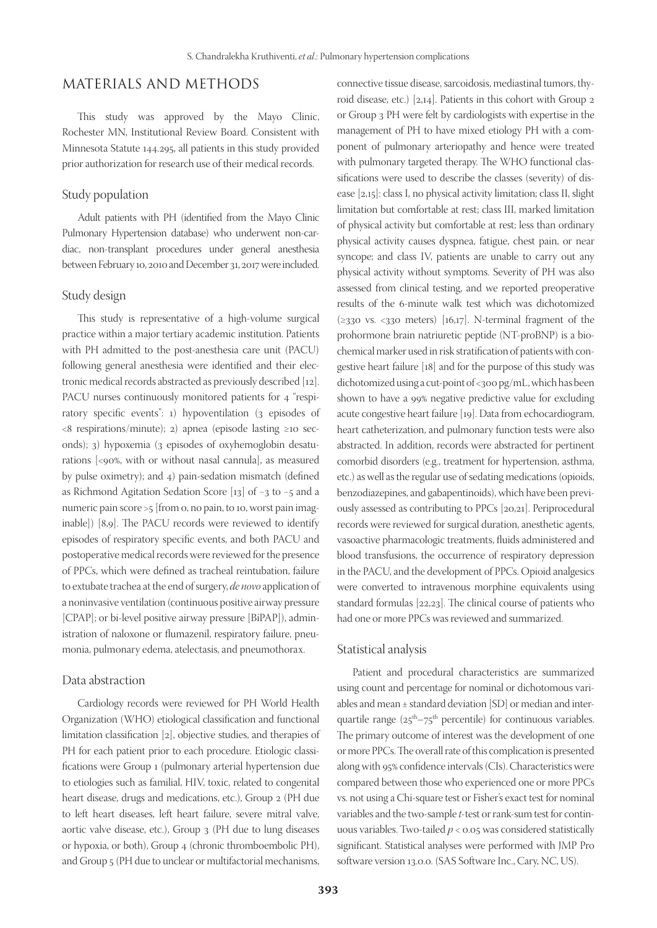## MATERIALS AND METHODS

This study was approved by the Mayo Clinic, Rochester MN, Institutional Review Board. Consistent with Minnesota Statute 144.295, all patients in this study provided prior authorization for research use of their medical records.

#### Study population

Adult patients with PH (identified from the Mayo Clinic Pulmonary Hypertension database) who underwent non-cardiac, non-transplant procedures under general anesthesia between February 10, 2010 and December 31, 2017 were included.

#### Study design

This study is representative of a high-volume surgical practice within a major tertiary academic institution. Patients with PH admitted to the post-anesthesia care unit (PACU) following general anesthesia were identified and their electronic medical records abstracted as previously described [12]. PACU nurses continuously monitored patients for 4 "respiratory specific events": 1) hypoventilation (3 episodes of <8 respirations/minute); 2) apnea (episode lasting ≥10 seconds); 3) hypoxemia (3 episodes of oxyhemoglobin desaturations [<90%, with or without nasal cannula], as measured by pulse oximetry); and 4) pain-sedation mismatch (defined as Richmond Agitation Sedation Score [13] of −3 to −5 and a numeric pain score >5 [from 0, no pain, to 10, worst pain imaginable]) [8,9]. The PACU records were reviewed to identify episodes of respiratory specific events, and both PACU and postoperative medical records were reviewed for the presence of PPCs, which were defined as tracheal reintubation, failure to extubate trachea at the end of surgery, *de novo* application of a noninvasive ventilation (continuous positive airway pressure [CPAP]; or bi-level positive airway pressure [BiPAP]), administration of naloxone or flumazenil, respiratory failure, pneumonia, pulmonary edema, atelectasis, and pneumothorax.

#### Data abstraction

Cardiology records were reviewed for PH World Health Organization (WHO) etiological classification and functional limitation classification [2], objective studies, and therapies of PH for each patient prior to each procedure. Etiologic classifications were Group 1 (pulmonary arterial hypertension due to etiologies such as familial, HIV, toxic, related to congenital heart disease, drugs and medications, etc.), Group 2 (PH due to left heart diseases, left heart failure, severe mitral valve, aortic valve disease, etc.), Group 3 (PH due to lung diseases or hypoxia, or both), Group 4 (chronic thromboembolic PH), and Group 5 (PH due to unclear or multifactorial mechanisms,

connective tissue disease, sarcoidosis, mediastinal tumors, thyroid disease, etc.) [2,14]. Patients in this cohort with Group 2 or Group 3 PH were felt by cardiologists with expertise in the management of PH to have mixed etiology PH with a component of pulmonary arteriopathy and hence were treated with pulmonary targeted therapy. The WHO functional classifications were used to describe the classes (severity) of disease [2,15]: class I, no physical activity limitation; class II, slight limitation but comfortable at rest; class III, marked limitation of physical activity but comfortable at rest; less than ordinary physical activity causes dyspnea, fatigue, chest pain, or near syncope; and class IV, patients are unable to carry out any physical activity without symptoms. Severity of PH was also assessed from clinical testing, and we reported preoperative results of the 6-minute walk test which was dichotomized ( $\geq$ 330 vs. <330 meters) [16,17]. N-terminal fragment of the prohormone brain natriuretic peptide (NT-proBNP) is a biochemical marker used in risk stratification of patients with congestive heart failure [18] and for the purpose of this study was dichotomized using a cut-point of <300 pg/mL, which has been shown to have a 99% negative predictive value for excluding acute congestive heart failure [19]. Data from echocardiogram, heart catheterization, and pulmonary function tests were also abstracted. In addition, records were abstracted for pertinent comorbid disorders (e.g., treatment for hypertension, asthma, etc.) as well as the regular use of sedating medications (opioids, benzodiazepines, and gabapentinoids), which have been previously assessed as contributing to PPCs [20,21]. Periprocedural records were reviewed for surgical duration, anesthetic agents, vasoactive pharmacologic treatments, fluids administered and blood transfusions, the occurrence of respiratory depression in the PACU, and the development of PPCs. Opioid analgesics were converted to intravenous morphine equivalents using standard formulas [22,23]. The clinical course of patients who had one or more PPCs was reviewed and summarized.

#### Statistical analysis

Patient and procedural characteristics are summarized using count and percentage for nominal or dichotomous variables and mean ± standard deviation [SD] or median and interquartile range  $(25<sup>th</sup>-75<sup>th</sup>$  percentile) for continuous variables. The primary outcome of interest was the development of one or more PPCs. The overall rate of this complication is presented along with 95% confidence intervals (CIs). Characteristics were compared between those who experienced one or more PPCs vs. not using a Chi-square test or Fisher's exact test for nominal variables and the two-sample *t*-test or rank-sum test for continuous variables. Two-tailed *p* < 0.05 was considered statistically significant. Statistical analyses were performed with JMP Pro software version 13.0.0. (SAS Software Inc., Cary, NC, US).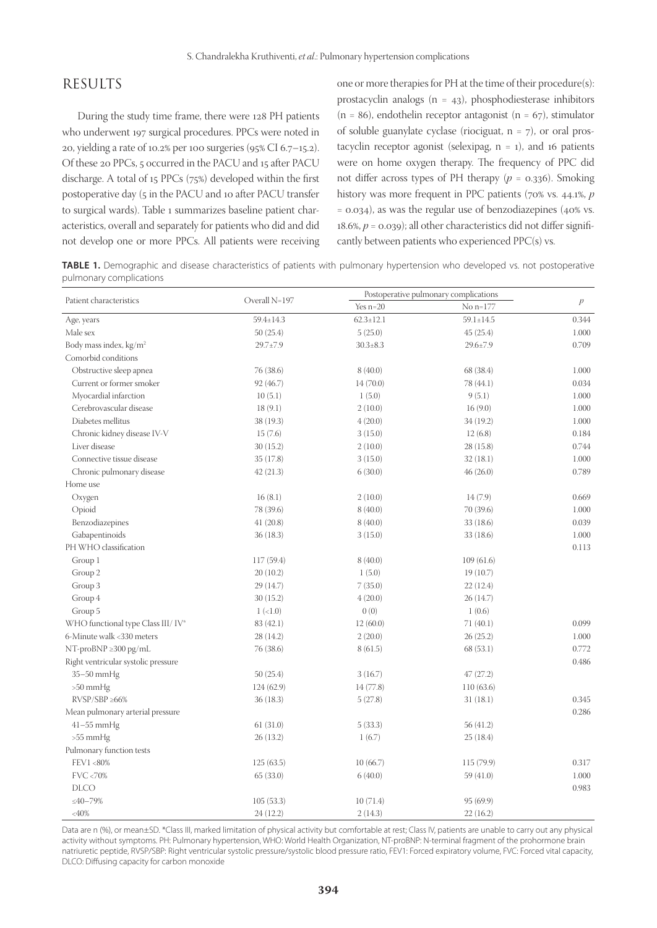## RESULTS

During the study time frame, there were 128 PH patients who underwent 197 surgical procedures. PPCs were noted in 20, yielding a rate of 10.2% per 100 surgeries (95% CI 6.7–15.2). Of these 20 PPCs, 5 occurred in the PACU and 15 after PACU discharge. A total of 15 PPCs (75%) developed within the first postoperative day (5 in the PACU and 10 after PACU transfer to surgical wards). Table 1 summarizes baseline patient characteristics, overall and separately for patients who did and did not develop one or more PPCs. All patients were receiving one or more therapies for PH at the time of their procedure(s): prostacyclin analogs  $(n = 43)$ , phosphodiesterase inhibitors  $(n = 86)$ , endothelin receptor antagonist  $(n = 67)$ , stimulator of soluble guanylate cyclase (riociguat,  $n = 7$ ), or oral prostacyclin receptor agonist (selexipag,  $n = 1$ ), and 16 patients were on home oxygen therapy. The frequency of PPC did not differ across types of PH therapy  $(p = 0.336)$ . Smoking history was more frequent in PPC patients (70% vs. 44.1%, *p*  $= 0.034$ ), as was the regular use of benzodiazepines (40% vs. 18.6%,  $p = 0.039$ ); all other characteristics did not differ significantly between patients who experienced PPC(s) vs.

**TABLE 1.** Demographic and disease characteristics of patients with pulmonary hypertension who developed vs. not postoperative pulmonary complications

|                                     |               | Postoperative pulmonary complications |                 |               |
|-------------------------------------|---------------|---------------------------------------|-----------------|---------------|
| Patient characteristics             | Overall N=197 | Yes $n=20$                            | No n=177        | $\mathcal{P}$ |
| Age, years                          | 59.4±14.3     | $62.3 \pm 12.1$                       | $59.1 \pm 14.5$ | 0.344         |
| Male sex                            | 50(25.4)      | 5(25.0)                               | 45(25.4)        | 1.000         |
| Body mass index, kg/m <sup>2</sup>  | 29.7±7.9      | $30.3 \pm 8.3$                        | 29.6±7.9        | 0.709         |
| Comorbid conditions                 |               |                                       |                 |               |
| Obstructive sleep apnea             | 76 (38.6)     | 8(40.0)                               | 68 (38.4)       | 1.000         |
| Current or former smoker            | 92 (46.7)     | 14(70.0)                              | 78 (44.1)       | 0.034         |
| Myocardial infarction               | 10(5.1)       | 1(5.0)                                | 9(5.1)          | 1.000         |
| Cerebrovascular disease             | 18(9.1)       | 2(10.0)                               | 16(9.0)         | 1.000         |
| Diabetes mellitus                   | 38 (19.3)     | 4(20.0)                               | 34 (19.2)       | 1.000         |
| Chronic kidney disease IV-V         | 15(7.6)       | 3(15.0)                               | 12(6.8)         | 0.184         |
| Liver disease                       | 30(15.2)      | 2(10.0)                               | 28(15.8)        | 0.744         |
| Connective tissue disease           | 35 (17.8)     | 3(15.0)                               | 32(18.1)        | 1.000         |
| Chronic pulmonary disease           | 42(21.3)      | 6(30.0)                               | 46(26.0)        | 0.789         |
| Home use                            |               |                                       |                 |               |
| Oxygen                              | 16(8.1)       | 2(10.0)                               | 14(7.9)         | 0.669         |
| Opioid                              | 78 (39.6)     | 8(40.0)                               | 70 (39.6)       | 1.000         |
| Benzodiazepines                     | 41(20.8)      | 8(40.0)                               | 33(18.6)        | 0.039         |
| Gabapentinoids                      | 36(18.3)      | 3(15.0)                               | 33(18.6)        | 1.000         |
| PH WHO classification               |               |                                       |                 | 0.113         |
| Group 1                             | 117 (59.4)    | 8(40.0)                               | 109(61.6)       |               |
| Group 2                             | 20(10.2)      | 1(5.0)                                | 19(10.7)        |               |
| Group 3                             | 29(14.7)      | 7(35.0)                               | 22(12.4)        |               |
| Group 4                             | 30(15.2)      | 4(20.0)                               | 26(14.7)        |               |
| Group 5                             | $1 (-1.0)$    | 0(0)                                  | 1(0.6)          |               |
| WHO functional type Class III/ IV*  | 83 (42.1)     | 12(60.0)                              | 71(40.1)        | 0.099         |
| 6-Minute walk <330 meters           | 28 (14.2)     | 2(20.0)                               | 26(25.2)        | 1.000         |
| $NT-proBNP \geq 300 pg/mL$          | 76 (38.6)     | 8(61.5)                               | 68(53.1)        | 0.772         |
| Right ventricular systolic pressure |               |                                       |                 | 0.486         |
| 35-50 mmHg                          | 50(25.4)      | 3(16.7)                               | 47(27.2)        |               |
| $>50$ mmHg                          | 124(62.9)     | 14(77.8)                              | 110(63.6)       |               |
| $RVSP/SBP \geq 66\%$                | 36(18.3)      | 5(27.8)                               | 31(18.1)        | 0.345         |
| Mean pulmonary arterial pressure    |               |                                       |                 | 0.286         |
| 41-55 mmHg                          | 61(31.0)      | 5(33.3)                               | 56 (41.2)       |               |
| $>55$ mmHg                          | 26(13.2)      | 1(6.7)                                | 25(18.4)        |               |
| Pulmonary function tests            |               |                                       |                 |               |
| FEV1 <80%                           | 125(63.5)     | 10(66.7)                              | 115 (79.9)      | 0.317         |
| FVC <70%                            | 65(33.0)      | 6(40.0)                               | 59(41.0)        | 1.000         |
| <b>DLCO</b>                         |               |                                       |                 | 0.983         |
| $\leq 40 - 79\%$                    | 105(53.3)     | 10(71.4)                              | 95(69.9)        |               |
| $<\!\!40\%$                         | 24(12.2)      | 2(14.3)                               | 22(16.2)        |               |

Data are n (%), or mean±SD. \*Class III, marked limitation of physical activity but comfortable at rest; Class IV, patients are unable to carry out any physical activity without symptoms. PH: Pulmonary hypertension, WHO: World Health Organization, NT-proBNP: N-terminal fragment of the prohormone brain natriuretic peptide, RVSP/SBP: Right ventricular systolic pressure/systolic blood pressure ratio, FEV1: Forced expiratory volume, FVC: Forced vital capacity, DLCO: Diffusing capacity for carbon monoxide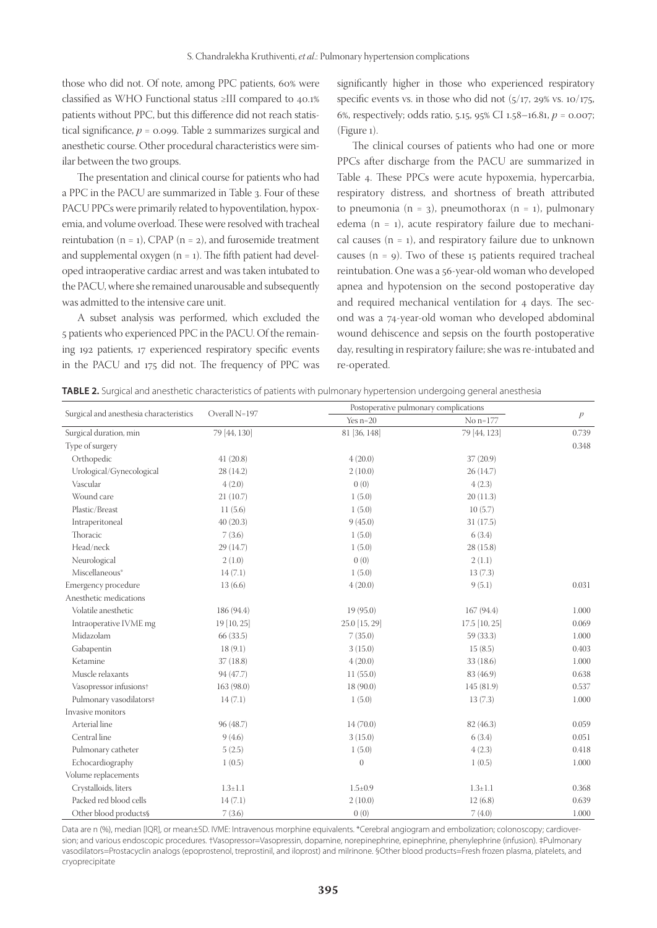those who did not. Of note, among PPC patients, 60% were classified as WHO Functional status ≥III compared to 40.1% patients without PPC, but this difference did not reach statistical significance,  $p = 0.099$ . Table 2 summarizes surgical and anesthetic course. Other procedural characteristics were similar between the two groups.

The presentation and clinical course for patients who had a PPC in the PACU are summarized in Table 3. Four of these PACU PPCs were primarily related to hypoventilation, hypoxemia, and volume overload. These were resolved with tracheal reintubation  $(n = 1)$ , CPAP  $(n = 2)$ , and furosemide treatment and supplemental oxygen  $(n = 1)$ . The fifth patient had developed intraoperative cardiac arrest and was taken intubated to the PACU, where she remained unarousable and subsequently was admitted to the intensive care unit.

A subset analysis was performed, which excluded the 5 patients who experienced PPC in the PACU. Of the remaining 192 patients, 17 experienced respiratory specific events in the PACU and 175 did not. The frequency of PPC was

significantly higher in those who experienced respiratory specific events vs. in those who did not  $(5/17, 29\% \text{ vs. } 10/175,$ 6%, respectively; odds ratio, 5.15, 95% CI 1.58–16.81, *p* = 0.007; (Figure 1).

The clinical courses of patients who had one or more PPCs after discharge from the PACU are summarized in Table 4. These PPCs were acute hypoxemia, hypercarbia, respiratory distress, and shortness of breath attributed to pneumonia (n = 3), pneumothorax (n = 1), pulmonary edema ( $n = 1$ ), acute respiratory failure due to mechanical causes  $(n = 1)$ , and respiratory failure due to unknown causes  $(n = 9)$ . Two of these 15 patients required tracheal reintubation. One was a 56-year-old woman who developed apnea and hypotension on the second postoperative day and required mechanical ventilation for 4 days. The second was a 74-year-old woman who developed abdominal wound dehiscence and sepsis on the fourth postoperative day, resulting in respiratory failure; she was re-intubated and re-operated.

| TABLE 2. Surgical and anesthetic characteristics of patients with pulmonary hypertension undergoing general anesthesia |  |  |  |  |
|------------------------------------------------------------------------------------------------------------------------|--|--|--|--|
|------------------------------------------------------------------------------------------------------------------------|--|--|--|--|

|                                         |               | Postoperative pulmonary complications |                 |               |
|-----------------------------------------|---------------|---------------------------------------|-----------------|---------------|
| Surgical and anesthesia characteristics | Overall N=197 | Yes $n=20$                            | No n=177        | $\mathcal{P}$ |
| Surgical duration, min                  | 79 [44, 130]  | 81 [36, 148]                          | 79 [44, 123]    | 0.739         |
| Type of surgery                         |               |                                       |                 | 0.348         |
| Orthopedic                              | 41(20.8)      | 4(20.0)                               | 37(20.9)        |               |
| Urological/Gynecological                | 28(14.2)      | 2(10.0)                               | 26(14.7)        |               |
| Vascular                                | 4(2.0)        | 0(0)                                  | 4(2.3)          |               |
| Wound care                              | 21(10.7)      | 1(5.0)                                | 20(11.3)        |               |
| Plastic/Breast                          | 11(5.6)       | 1(5.0)                                | 10(5.7)         |               |
| Intraperitoneal                         | 40(20.3)      | 9(45.0)                               | 31(17.5)        |               |
| Thoracic                                | 7(3.6)        | 1(5.0)                                | 6(3.4)          |               |
| Head/neck                               | 29 (14.7)     | 1(5.0)                                | 28(15.8)        |               |
| Neurological                            | 2(1.0)        | 0(0)                                  | 2(1.1)          |               |
| Miscellaneous*                          | 14(7.1)       | 1(5.0)                                | 13(7.3)         |               |
| Emergency procedure                     | 13(6.6)       | 4(20.0)                               | 9(5.1)          | 0.031         |
| Anesthetic medications                  |               |                                       |                 |               |
| Volatile anesthetic                     | 186 (94.4)    | 19(95.0)                              | 167 (94.4)      | 1.000         |
| Intraoperative IVME mg                  | 19 [10, 25]   | 25.0 [15, 29]                         | $17.5$ [10, 25] | 0.069         |
| Midazolam                               | 66(33.5)      | 7(35.0)                               | 59 (33.3)       | 1.000         |
| Gabapentin                              | 18(9.1)       | 3(15.0)                               | 15(8.5)         | 0.403         |
| Ketamine                                | 37(18.8)      | 4(20.0)                               | 33(18.6)        | 1.000         |
| Muscle relaxants                        | 94 (47.7)     | 11(55.0)                              | 83 (46.9)       | 0.638         |
| Vasopressor infusions+                  | 163 (98.0)    | 18(90.0)                              | 145 (81.9)      | 0.537         |
| Pulmonary vasodilators#                 | 14(7.1)       | 1(5.0)                                | 13(7.3)         | 1.000         |
| Invasive monitors                       |               |                                       |                 |               |
| Arterial line                           | 96 (48.7)     | 14(70.0)                              | 82 (46.3)       | 0.059         |
| Central line                            | 9(4.6)        | 3(15.0)                               | 6(3.4)          | 0.051         |
| Pulmonary catheter                      | 5(2.5)        | 1(5.0)                                | 4(2.3)          | 0.418         |
| Echocardiography                        | 1(0.5)        | $\mathbf{0}$                          | 1(0.5)          | 1.000         |
| Volume replacements                     |               |                                       |                 |               |
| Crystalloids, liters                    | $1.3 \pm 1.1$ | $1.5 \pm 0.9$                         | $1.3 \pm 1.1$   | 0.368         |
| Packed red blood cells                  | 14(7.1)       | 2(10.0)                               | 12(6.8)         | 0.639         |
| Other blood products§                   | 7(3.6)        | 0(0)                                  | 7(4.0)          | 1.000         |

Data are n (%), median [IQR], or mean±SD. IVME: Intravenous morphine equivalents. \*Cerebral angiogram and embolization; colonoscopy; cardioversion; and various endoscopic procedures. †Vasopressor=Vasopressin, dopamine, norepinephrine, epinephrine, phenylephrine (infusion). ‡Pulmonary vasodilators=Prostacyclin analogs (epoprostenol, treprostinil, and iloprost) and milrinone. §Other blood products=Fresh frozen plasma, platelets, and cryoprecipitate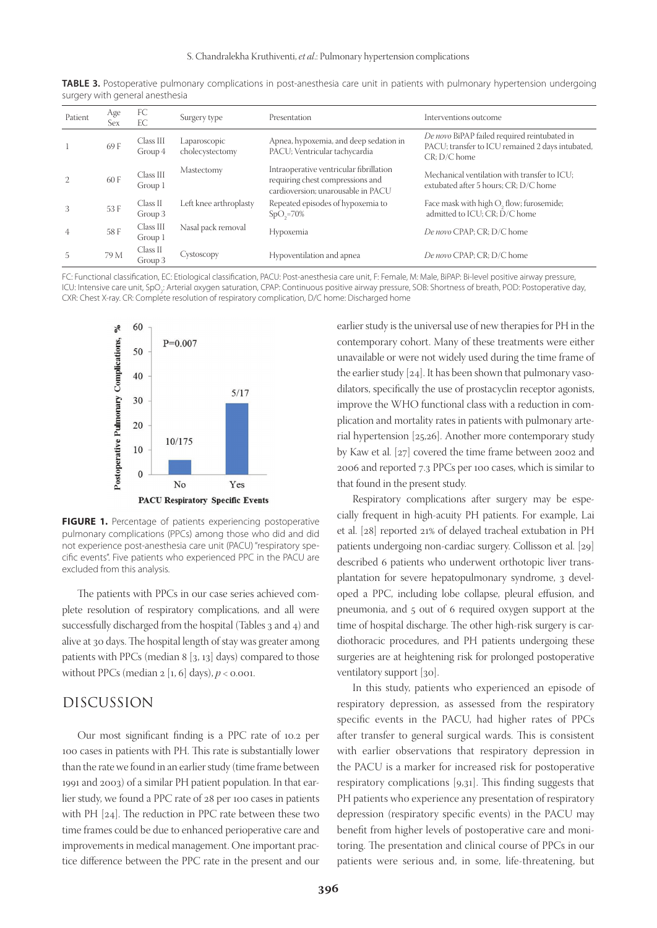| Patient        | Age<br>Sex | FC<br>EC             | Surgery type                    | Presentation                                                                                                      | Interventions outcome                                                                                              |
|----------------|------------|----------------------|---------------------------------|-------------------------------------------------------------------------------------------------------------------|--------------------------------------------------------------------------------------------------------------------|
|                | 69 F       | Class III<br>Group 4 | Laparoscopic<br>cholecystectomy | Apnea, hypoxemia, and deep sedation in<br>PACU; Ventricular tachycardia                                           | De novo BiPAP failed required reintubated in<br>PACU; transfer to ICU remained 2 days intubated,<br>$CR: D/C$ home |
| 2              | 60 F       | Class III<br>Group 1 | Mastectomy                      | Intraoperative ventricular fibrillation<br>requiring chest compressions and<br>cardioversion; unarousable in PACU | Mechanical ventilation with transfer to ICU:<br>extubated after 5 hours; CR; D/C home                              |
| 3              | 53 F       | Class II<br>Group 3  | Left knee arthroplasty          | Repeated episodes of hypoxemia to<br>$SpO2=70%$                                                                   | Face mask with high O <sub>2</sub> flow; furosemide;<br>admitted to ICU; CR; D/C home                              |
| $\overline{4}$ | 58 F       | Class III<br>Group 1 | Nasal pack removal              | Hypoxemia                                                                                                         | De novo CPAP; CR; D/C home                                                                                         |
| 5              | 79 M       | Class II<br>Group 3  | Cystoscopy                      | Hypoventilation and apnea                                                                                         | De novo CPAP; CR; D/C home                                                                                         |

**TABLE 3.** Postoperative pulmonary complications in post-anesthesia care unit in patients with pulmonary hypertension undergoing surgery with general anesthesia

FC: Functional classification, EC: Etiological classification, PACU: Post-anesthesia care unit, F: Female, M: Male, BiPAP: Bi-level positive airway pressure, ICU: Intensive care unit, SpO<sub>2</sub>: Arterial oxygen saturation, CPAP: Continuous positive airway pressure, SOB: Shortness of breath, POD: Postoperative day, CXR: Chest X-ray. CR: Complete resolution of respiratory complication, D/C home: Discharged home



**FIGURE 1.** Percentage of patients experiencing postoperative pulmonary complications (PPCs) among those who did and did not experience post-anesthesia care unit (PACU) "respiratory specific events". Five patients who experienced PPC in the PACU are excluded from this analysis.

The patients with PPCs in our case series achieved complete resolution of respiratory complications, and all were successfully discharged from the hospital (Tables 3 and 4) and alive at 30 days. The hospital length of stay was greater among patients with PPCs (median 8 [3, 13] days) compared to those without PPCs (median  $2 \left[ 1, 6 \right]$  days),  $p < 0.001$ .

### DISCUSSION

Our most significant finding is a PPC rate of 10.2 per 100 cases in patients with PH. This rate is substantially lower than the rate we found in an earlier study (time frame between 1991 and 2003) of a similar PH patient population. In that earlier study, we found a PPC rate of 28 per 100 cases in patients with PH [24]. The reduction in PPC rate between these two time frames could be due to enhanced perioperative care and improvements in medical management. One important practice difference between the PPC rate in the present and our

earlier study is the universal use of new therapies for PH in the contemporary cohort. Many of these treatments were either unavailable or were not widely used during the time frame of the earlier study [24]. It has been shown that pulmonary vasodilators, specifically the use of prostacyclin receptor agonists, improve the WHO functional class with a reduction in complication and mortality rates in patients with pulmonary arterial hypertension [25,26]. Another more contemporary study by Kaw et al. [27] covered the time frame between 2002 and 2006 and reported 7.3 PPCs per 100 cases, which is similar to that found in the present study.

Respiratory complications after surgery may be especially frequent in high-acuity PH patients. For example, Lai et al. [28] reported 21% of delayed tracheal extubation in PH patients undergoing non-cardiac surgery. Collisson et al. [29] described 6 patients who underwent orthotopic liver transplantation for severe hepatopulmonary syndrome, 3 developed a PPC, including lobe collapse, pleural effusion, and pneumonia, and 5 out of 6 required oxygen support at the time of hospital discharge. The other high-risk surgery is cardiothoracic procedures, and PH patients undergoing these surgeries are at heightening risk for prolonged postoperative ventilatory support [30].

In this study, patients who experienced an episode of respiratory depression, as assessed from the respiratory specific events in the PACU, had higher rates of PPCs after transfer to general surgical wards. This is consistent with earlier observations that respiratory depression in the PACU is a marker for increased risk for postoperative respiratory complications [9,31]. This finding suggests that PH patients who experience any presentation of respiratory depression (respiratory specific events) in the PACU may benefit from higher levels of postoperative care and monitoring. The presentation and clinical course of PPCs in our patients were serious and, in some, life-threatening, but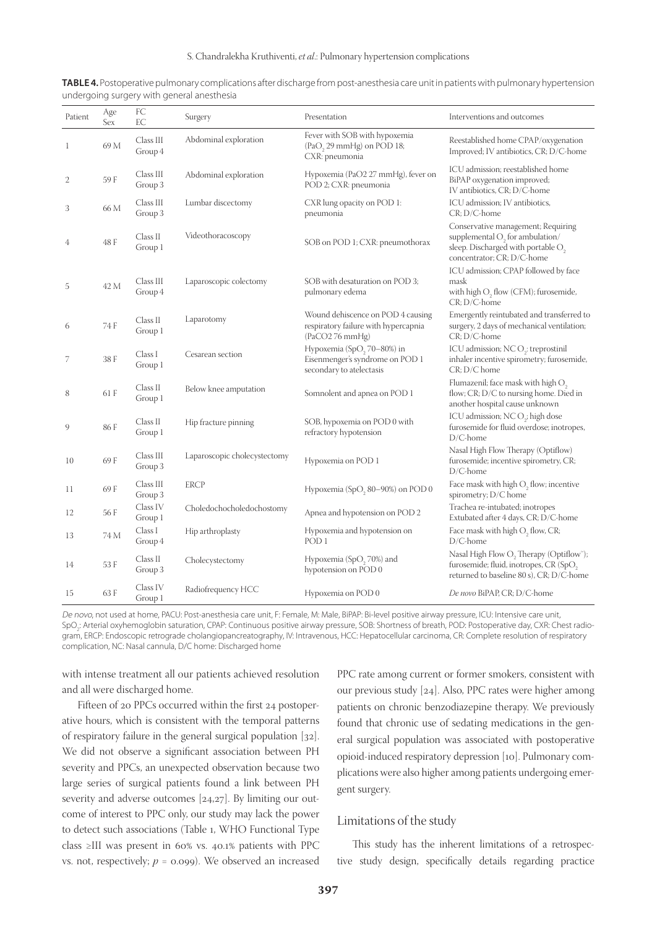| Patient      | Age<br>Sex | FC<br>EC             | Surgery                      | Presentation                                                                                            | Interventions and outcomes                                                                                                                               |
|--------------|------------|----------------------|------------------------------|---------------------------------------------------------------------------------------------------------|----------------------------------------------------------------------------------------------------------------------------------------------------------|
| $\mathbf{1}$ | 69 M       | Class III<br>Group 4 | Abdominal exploration        | Fever with SOB with hypoxemia<br>(PaO <sub>2</sub> 29 mmHg) on POD 18;<br>CXR: pneumonia                | Reestablished home CPAP/oxygenation<br>Improved; IV antibiotics, CR; D/C-home                                                                            |
| $\mathbf{2}$ | 59 F       | Class III<br>Group 3 | Abdominal exploration        | Hypoxemia (PaO2 27 mmHg), fever on<br>POD 2; CXR: pneumonia                                             | ICU admission; reestablished home<br>BiPAP oxygenation improved;<br>IV antibiotics, CR; D/C-home                                                         |
| 3            | 66 M       | Class III<br>Group 3 | Lumbar discectomy            | CXR lung opacity on POD 1:<br>pneumonia                                                                 | ICU admission; IV antibiotics,<br>$CR$ ; $D/C$ -home                                                                                                     |
| 4            | 48 F       | Class II<br>Group 1  | Videothoracoscopy            | SOB on POD 1; CXR: pneumothorax                                                                         | Conservative management; Requiring<br>supplemental $O_2$ for ambulation/<br>sleep. Discharged with portable O <sub>2</sub><br>concentrator; CR; D/C-home |
| 5            | 42 M       | Class III<br>Group 4 | Laparoscopic colectomy       | SOB with desaturation on POD 3;<br>pulmonary edema                                                      | ICU admission; CPAP followed by face<br>mask<br>with high O <sub>2</sub> flow (CFM); furosemide,<br>CR; D/C-home                                         |
| 6            | 74 F       | Class II<br>Group 1  | Laparotomy                   | Wound dehiscence on POD 4 causing<br>respiratory failure with hypercapnia<br>(PaCO276 mmHg)             | Emergently reintubated and transferred to<br>surgery, 2 days of mechanical ventilation;<br>$CR$ ; $D/C$ -home                                            |
| 7            | 38 F       | Class I<br>Group 1   | Cesarean section             | Hypoxemia (SpO <sub>2</sub> , 70-80%) in<br>Eisenmenger's syndrome on POD 1<br>secondary to atelectasis | ICU admission; NCO <sub>2</sub> : treprostinil<br>inhaler incentive spirometry; furosemide,<br>$CR$ ; $D/C$ home                                         |
| 8            | 61 F       | Class II<br>Group 1  | Below knee amputation        | Somnolent and apnea on POD 1                                                                            | Flumazenil; face mask with high $\mathrm{O}_2$<br>flow; CR; D/C to nursing home. Died in<br>another hospital cause unknown                               |
| 9            | 86 F       | Class II<br>Group 1  | Hip fracture pinning         | SOB, hypoxemia on POD 0 with<br>refractory hypotension                                                  | ICU admission; NCO <sub>2</sub> ; high dose<br>furosemide for fluid overdose; inotropes,<br>$D/C$ -home                                                  |
| 10           | 69 F       | Class III<br>Group 3 | Laparoscopic cholecystectomy | Hypoxemia on POD 1                                                                                      | Nasal High Flow Therapy (Optiflow)<br>furosemide; incentive spirometry, CR;<br>$D/C$ -home                                                               |
| 11           | 69 F       | Class III<br>Group 3 | <b>ERCP</b>                  | Hypoxemia (SpO <sub>2</sub> 80-90%) on POD 0                                                            | Face mask with high O <sub>2</sub> flow; incentive<br>spirometry; D/C home                                                                               |
| 12           | 56 F       | Class IV<br>Group 1  | Choledochocholedochostomy    | Apnea and hypotension on POD 2                                                                          | Trachea re-intubated; inotropes<br>Extubated after 4 days, CR; D/C-home                                                                                  |
| 13           | 74 M       | Class I<br>Group 4   | Hip arthroplasty             | Hypoxemia and hypotension on<br>POD <sub>1</sub>                                                        | Face mask with high O <sub>2</sub> flow, CR;<br>$D/C$ -home                                                                                              |
| 14           | 53 F       | Class II<br>Group 3  | Cholecystectomy              | Hypoxemia (SpO <sub>2</sub> , 70%) and<br>hypotension on POD 0                                          | Nasal High Flow $\mathrm{O}_2$ Therapy (Optiflow");<br>furosemide; fluid, inotropes, CR (SpO <sub>2</sub><br>returned to baseline 80 s), CR; D/C-home    |
| 15           | 63 F       | Class IV<br>Group 1  | Radiofrequency HCC           | Hypoxemia on POD 0                                                                                      | De novo BiPAP, CR; D/C-home                                                                                                                              |

**TABLE 4.** Postoperative pulmonary complications after discharge from post-anesthesia care unit in patients with pulmonary hypertension undergoing surgery with general anesthesia

De novo, not used at home, PACU: Post-anesthesia care unit, F: Female, M: Male, BiPAP: Bi-level positive airway pressure, ICU: Intensive care unit, SpO $_2$ : Arterial oxyhemoglobin saturation, CPAP: Continuous positive airway pressure, SOB: Shortness of breath, POD: Postoperative day, CXR: Chest radiogram, ERCP: Endoscopic retrograde cholangiopancreatography, IV: Intravenous, HCC: Hepatocellular carcinoma, CR: Complete resolution of respiratory complication, NC: Nasal cannula, D/C home: Discharged home

with intense treatment all our patients achieved resolution and all were discharged home.

Fifteen of 20 PPCs occurred within the first 24 postoperative hours, which is consistent with the temporal patterns of respiratory failure in the general surgical population [32]. We did not observe a significant association between PH severity and PPCs, an unexpected observation because two large series of surgical patients found a link between PH severity and adverse outcomes [24,27]. By limiting our outcome of interest to PPC only, our study may lack the power to detect such associations (Table 1, WHO Functional Type class ≥III was present in 60% vs. 40.1% patients with PPC vs. not, respectively;  $p = 0.099$ ). We observed an increased PPC rate among current or former smokers, consistent with our previous study [24]. Also, PPC rates were higher among patients on chronic benzodiazepine therapy. We previously found that chronic use of sedating medications in the general surgical population was associated with postoperative opioid-induced respiratory depression [10]. Pulmonary complications were also higher among patients undergoing emergent surgery.

### Limitations of the study

This study has the inherent limitations of a retrospective study design, specifically details regarding practice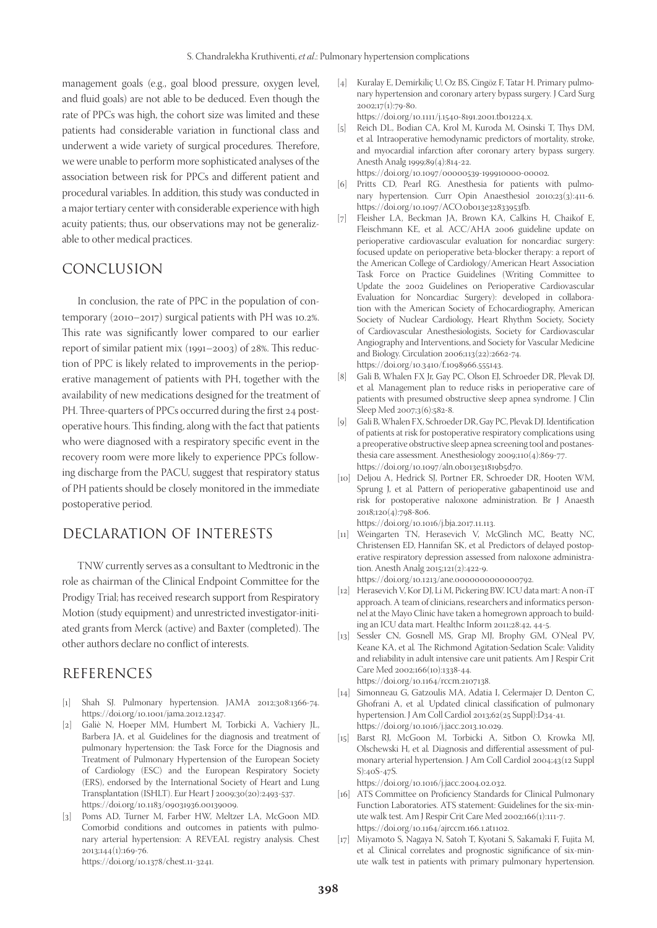management goals (e.g., goal blood pressure, oxygen level, and fluid goals) are not able to be deduced. Even though the rate of PPCs was high, the cohort size was limited and these patients had considerable variation in functional class and underwent a wide variety of surgical procedures. Therefore, we were unable to perform more sophisticated analyses of the association between risk for PPCs and different patient and procedural variables. In addition, this study was conducted in a major tertiary center with considerable experience with high acuity patients; thus, our observations may not be generalizable to other medical practices.

## CONCLUSION

In conclusion, the rate of PPC in the population of contemporary (2010–2017) surgical patients with PH was 10.2%. This rate was significantly lower compared to our earlier report of similar patient mix (1991–2003) of 28%. This reduction of PPC is likely related to improvements in the perioperative management of patients with PH, together with the availability of new medications designed for the treatment of PH. Three-quarters of PPCs occurred during the first 24 postoperative hours. This finding, along with the fact that patients who were diagnosed with a respiratory specific event in the recovery room were more likely to experience PPCs following discharge from the PACU, suggest that respiratory status of PH patients should be closely monitored in the immediate postoperative period.

## DECLARATION OF INTERESTS

TNW currently serves as a consultant to Medtronic in the role as chairman of the Clinical Endpoint Committee for the Prodigy Trial; has received research support from Respiratory Motion (study equipment) and unrestricted investigator-initiated grants from Merck (active) and Baxter (completed). The other authors declare no conflict of interests.

## REFERENCES

- [1] Shah SJ. Pulmonary hypertension. JAMA 2012;308:1366-74. https://doi.org/10.1001/jama.2012.12347.
- [2] Galiè N, Hoeper MM, Humbert M, Torbicki A, Vachiery JL, Barbera JA, et al*.* Guidelines for the diagnosis and treatment of pulmonary hypertension: the Task Force for the Diagnosis and Treatment of Pulmonary Hypertension of the European Society of Cardiology (ESC) and the European Respiratory Society (ERS), endorsed by the International Society of Heart and Lung Transplantation (ISHLT). Eur Heart J 2009;30(20):2493-537. https://doi.org/10.1183/09031936.00139009.
- [3] Poms AD, Turner M, Farber HW, Meltzer LA, McGoon MD. Comorbid conditions and outcomes in patients with pulmonary arterial hypertension: A REVEAL registry analysis. Chest 2013;144(1):169-76. https://doi.org/10.1378/chest.11-3241.
- [4] Kuralay E, Demírkiliç U, Oz BS, Cíngöz F, Tatar H. Primary pulmonary hypertension and coronary artery bypass surgery. J Card Surg 2002;17(1):79-80.
- https://doi.org/10.1111/j.1540-8191.2001.tb01224.x. [5] Reich DL, Bodian CA, Krol M, Kuroda M, Osinski T, Thys DM, et al*.* Intraoperative hemodynamic predictors of mortality, stroke, and myocardial infarction after coronary artery bypass surgery. Anesth Analg 1999;89(4):814-22.
- https://doi.org/10.1097/00000539-199910000-00002.
- [6] Pritts CD, Pearl RG. Anesthesia for patients with pulmonary hypertension. Curr Opin Anaesthesiol 2010;23(3):411-6. https://doi.org/10.1097/ACO.0b013e32833953fb.
- [7] Fleisher LA, Beckman JA, Brown KA, Calkins H, Chaikof E, Fleischmann KE, et al. ACC/AHA 2006 guideline update on perioperative cardiovascular evaluation for noncardiac surgery: focused update on perioperative beta-blocker therapy: a report of the American College of Cardiology/American Heart Association Task Force on Practice Guidelines (Writing Committee to Update the 2002 Guidelines on Perioperative Cardiovascular Evaluation for Noncardiac Surgery): developed in collaboration with the American Society of Echocardiography, American Society of Nuclear Cardiology, Heart Rhythm Society, Society of Cardiovascular Anesthesiologists, Society for Cardiovascular Angiography and Interventions, and Society for Vascular Medicine and Biology. Circulation 2006;113(22):2662-74. https://doi.org/10.3410/f.1098966.555143.
- Gali B, Whalen FX Jr, Gay PC, Olson EJ, Schroeder DR, Plevak DJ, et al*.* Management plan to reduce risks in perioperative care of patients with presumed obstructive sleep apnea syndrome. J Clin Sleep Med 2007;3(6):582-8.
- [9] Gali B, Whalen FX, Schroeder DR, Gay PC, Plevak DJ. Identification of patients at risk for postoperative respiratory complications using a preoperative obstructive sleep apnea screening tool and postanesthesia care assessment. Anesthesiology 2009;110(4):869-77. https://doi.org/10.1097/aln.0b013e31819b5d70.
- [10] Deljou A, Hedrick SJ, Portner ER, Schroeder DR, Hooten WM, Sprung J, et al*.* Pattern of perioperative gabapentinoid use and risk for postoperative naloxone administration. Br J Anaesth 2018;120(4):798-806. https://doi.org/10.1016/j.bja.2017.11.113.
- [11] Weingarten TN, Herasevich V, McGlinch MC, Beatty NC, Christensen ED, Hannifan SK, et al*.* Predictors of delayed postoperative respiratory depression assessed from naloxone administration. Anesth Analg 2015;121(2):422-9. https://doi.org/10.1213/ane.0000000000000792.
- [12] Herasevich V, Kor DJ, Li M, Pickering BW. ICU data mart: A non-iT approach. A team of clinicians, researchers and informatics personnel at the Mayo Clinic have taken a homegrown approach to building an ICU data mart. Healthc Inform 2011;28:42, 44-5.
- [13] Sessler CN, Gosnell MS, Grap MJ, Brophy GM, O'Neal PV, Keane KA, et al*.* The Richmond Agitation-Sedation Scale: Validity and reliability in adult intensive care unit patients. Am J Respir Crit Care Med 2002;166(10):1338-44. https://doi.org/10.1164/rccm.2107138.
- [14] Simonneau G, Gatzoulis MA, Adatia I, Celermajer D, Denton C, Ghofrani A, et al*.* Updated clinical classification of pulmonary hypertension. J Am Coll Cardiol 2013;62(25 Suppl):D34-41. https://doi.org/10.1016/j.jacc.2013.10.029.
- [15] Barst RJ, McGoon M, Torbicki A, Sitbon O, Krowka MJ, Olschewski H, et al*.* Diagnosis and differential assessment of pulmonary arterial hypertension. J Am Coll Cardiol 2004;43(12 Suppl S):40S-47S.

https://doi.org/10.1016/j.jacc.2004.02.032.

- [16] ATS Committee on Proficiency Standards for Clinical Pulmonary Function Laboratories. ATS statement: Guidelines for the six-minute walk test. Am J Respir Crit Care Med 2002;166(1):111-7. https://doi.org/10.1164/ajrccm.166.1.at1102.
- [17] Miyamoto S, Nagaya N, Satoh T, Kyotani S, Sakamaki F, Fujita M, et al*.* Clinical correlates and prognostic significance of six-minute walk test in patients with primary pulmonary hypertension.